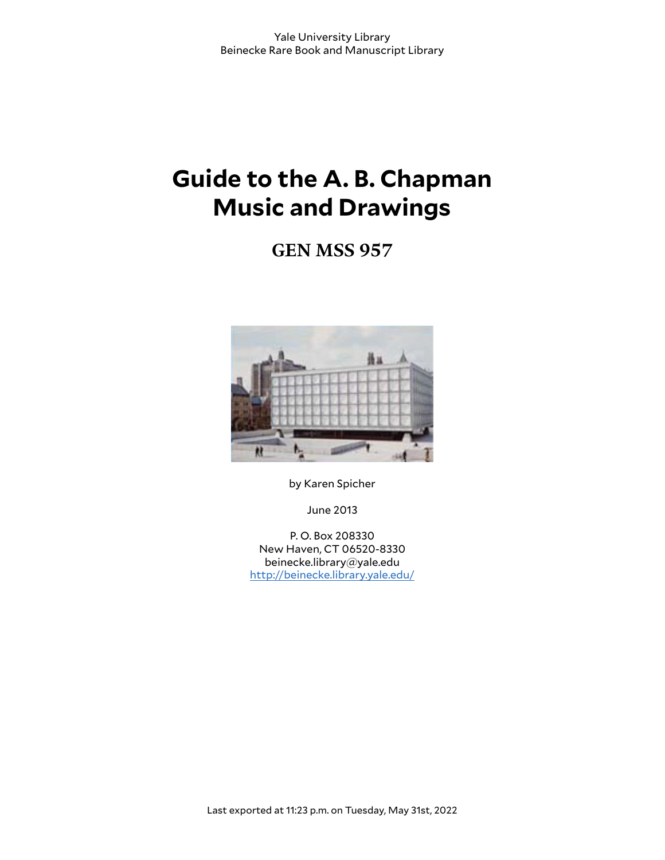# **Guide to the A. B. Chapman Music and Drawings**

**GEN MSS 957**



by Karen Spicher

June 2013

P. O. Box 208330 New Haven, CT 06520-8330 beinecke.library@yale.edu <http://beinecke.library.yale.edu/>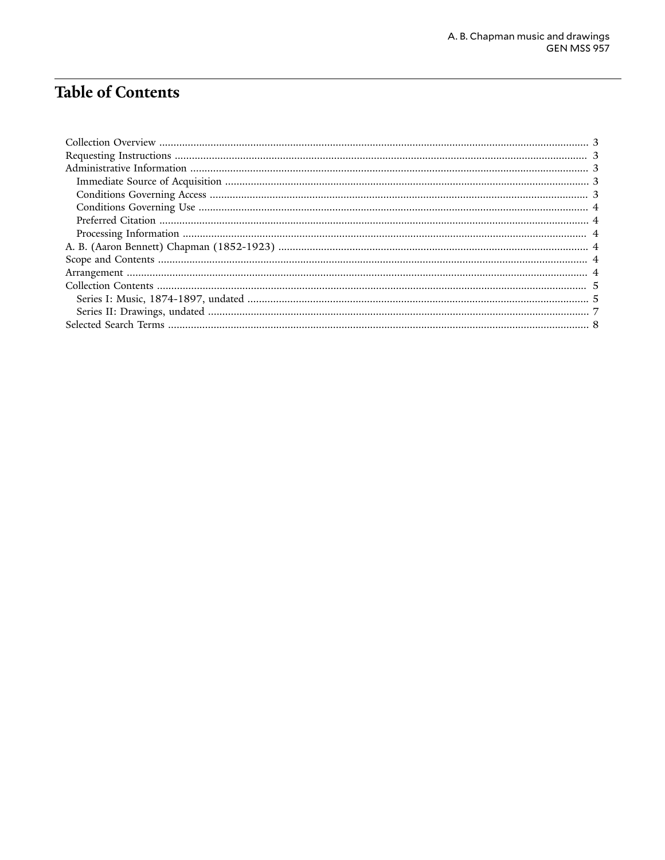# Table of Contents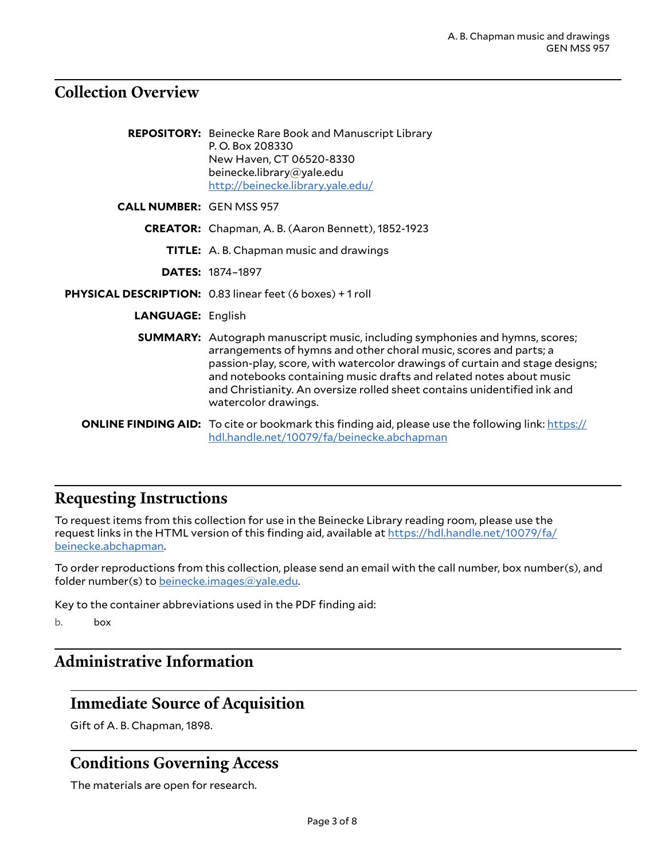## <span id="page-2-0"></span>**Collection Overview**

|                                 | <b>REPOSITORY:</b> Beinecke Rare Book and Manuscript Library<br>P.O. Box 208330<br>New Haven, CT 06520-8330<br>beinecke.library@yale.edu<br>http://beinecke.library.yale.edu/                                                                                                                                                                                                                                      |
|---------------------------------|--------------------------------------------------------------------------------------------------------------------------------------------------------------------------------------------------------------------------------------------------------------------------------------------------------------------------------------------------------------------------------------------------------------------|
| <b>CALL NUMBER: GEN MSS 957</b> |                                                                                                                                                                                                                                                                                                                                                                                                                    |
|                                 | <b>CREATOR:</b> Chapman, A. B. (Aaron Bennett), 1852-1923                                                                                                                                                                                                                                                                                                                                                          |
|                                 | TITLE: A. B. Chapman music and drawings                                                                                                                                                                                                                                                                                                                                                                            |
|                                 | <b>DATES: 1874-1897</b>                                                                                                                                                                                                                                                                                                                                                                                            |
|                                 | PHYSICAL DESCRIPTION: 0.83 linear feet (6 boxes) + 1 roll                                                                                                                                                                                                                                                                                                                                                          |
| <b>LANGUAGE: English</b>        |                                                                                                                                                                                                                                                                                                                                                                                                                    |
|                                 | <b>SUMMARY:</b> Autograph manuscript music, including symphonies and hymns, scores;<br>arrangements of hymns and other choral music, scores and parts; a<br>passion-play, score, with watercolor drawings of curtain and stage designs;<br>and notebooks containing music drafts and related notes about music<br>and Christianity. An oversize rolled sheet contains unidentified ink and<br>watercolor drawings. |
|                                 | <b>ONLINE FINDING AID:</b> To cite or bookmark this finding aid, please use the following link: https://<br>hdl.handle.net/10079/fa/beinecke.abchapman                                                                                                                                                                                                                                                             |

# <span id="page-2-1"></span>**Requesting Instructions**

To request items from this collection for use in the Beinecke Library reading room, please use the request links in the HTML version of this finding aid, available at [https://hdl.handle.net/10079/fa/](https://hdl.handle.net/10079/fa/beinecke.abchapman) [beinecke.abchapman.](https://hdl.handle.net/10079/fa/beinecke.abchapman)

To order reproductions from this collection, please send an email with the call number, box number(s), and folder number(s) to [beinecke.images@yale.edu.](mailto:beinecke.images@yale.edu)

Key to the container abbreviations used in the PDF finding aid:

b. box

# <span id="page-2-2"></span>**Administrative Information**

#### <span id="page-2-3"></span>**Immediate Source of Acquisition**

Gift of A. B. Chapman, 1898.

## <span id="page-2-4"></span>**Conditions Governing Access**

The materials are open for research.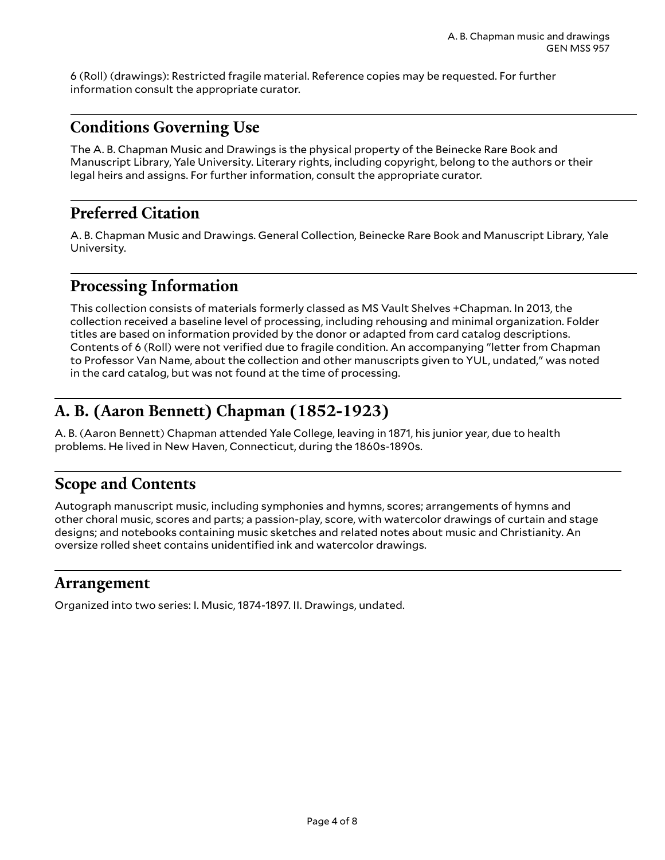6 (Roll) (drawings): Restricted fragile material. Reference copies may be requested. For further information consult the appropriate curator.

## <span id="page-3-0"></span>**Conditions Governing Use**

The A. B. Chapman Music and Drawings is the physical property of the Beinecke Rare Book and Manuscript Library, Yale University. Literary rights, including copyright, belong to the authors or their legal heirs and assigns. For further information, consult the appropriate curator.

## <span id="page-3-1"></span>**Preferred Citation**

A. B. Chapman Music and Drawings. General Collection, Beinecke Rare Book and Manuscript Library, Yale University.

## <span id="page-3-2"></span>**Processing Information**

This collection consists of materials formerly classed as MS Vault Shelves +Chapman. In 2013, the collection received a baseline level of processing, including rehousing and minimal organization. Folder titles are based on information provided by the donor or adapted from card catalog descriptions. Contents of 6 (Roll) were not verified due to fragile condition. An accompanying "letter from Chapman to Professor Van Name, about the collection and other manuscripts given to YUL, undated," was noted in the card catalog, but was not found at the time of processing.

# <span id="page-3-3"></span>**A. B. (Aaron Bennett) Chapman (1852-1923)**

A. B. (Aaron Bennett) Chapman attended Yale College, leaving in 1871, his junior year, due to health problems. He lived in New Haven, Connecticut, during the 1860s-1890s.

## <span id="page-3-4"></span>**Scope and Contents**

Autograph manuscript music, including symphonies and hymns, scores; arrangements of hymns and other choral music, scores and parts; a passion-play, score, with watercolor drawings of curtain and stage designs; and notebooks containing music sketches and related notes about music and Christianity. An oversize rolled sheet contains unidentified ink and watercolor drawings.

#### <span id="page-3-5"></span>**Arrangement**

Organized into two series: I. Music, 1874-1897. II. Drawings, undated.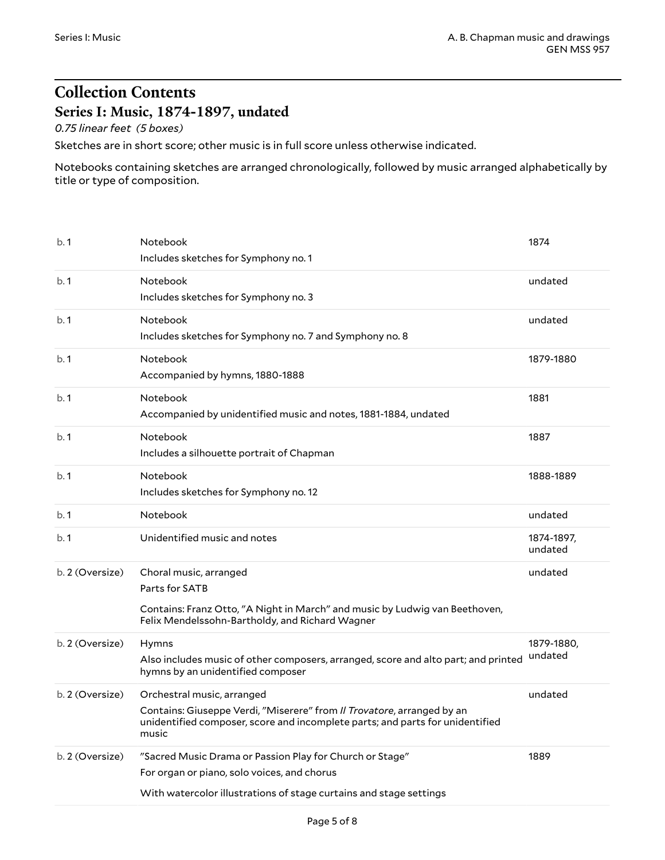# <span id="page-4-0"></span>**Collection Contents Series I: Music, 1874-1897, undated**

<span id="page-4-1"></span>*0.75 linear feet (5 boxes)*

Sketches are in short score; other music is in full score unless otherwise indicated.

Notebooks containing sketches are arranged chronologically, followed by music arranged alphabetically by title or type of composition.

| b.1             | Notebook<br>Includes sketches for Symphony no. 1                                                                                                                                               | 1874                  |
|-----------------|------------------------------------------------------------------------------------------------------------------------------------------------------------------------------------------------|-----------------------|
| b.1             | Notebook<br>Includes sketches for Symphony no. 3                                                                                                                                               | undated               |
| b.1             | Notebook<br>Includes sketches for Symphony no. 7 and Symphony no. 8                                                                                                                            | undated               |
| b.1             | Notebook<br>Accompanied by hymns, 1880-1888                                                                                                                                                    | 1879-1880             |
| b.1             | Notebook<br>Accompanied by unidentified music and notes, 1881-1884, undated                                                                                                                    | 1881                  |
| b.1             | Notebook<br>Includes a silhouette portrait of Chapman                                                                                                                                          | 1887                  |
| b.1             | Notebook<br>Includes sketches for Symphony no. 12                                                                                                                                              | 1888-1889             |
| b.1             | Notebook                                                                                                                                                                                       | undated               |
| b.1             | Unidentified music and notes                                                                                                                                                                   | 1874-1897,<br>undated |
| b. 2 (Oversize) | Choral music, arranged<br>Parts for SATB<br>Contains: Franz Otto, "A Night in March" and music by Ludwig van Beethoven,<br>Felix Mendelssohn-Bartholdy, and Richard Wagner                     | undated               |
| b. 2 (Oversize) | Hymns<br>Also includes music of other composers, arranged, score and alto part; and printed<br>hymns by an unidentified composer                                                               | 1879-1880,<br>undated |
| b. 2 (Oversize) | Orchestral music, arranged<br>Contains: Giuseppe Verdi, "Miserere" from Il Trovatore, arranged by an<br>unidentified composer, score and incomplete parts; and parts for unidentified<br>music | undated               |
| b. 2 (Oversize) | "Sacred Music Drama or Passion Play for Church or Stage"<br>For organ or piano, solo voices, and chorus<br>With watercolor illustrations of stage curtains and stage settings                  | 1889                  |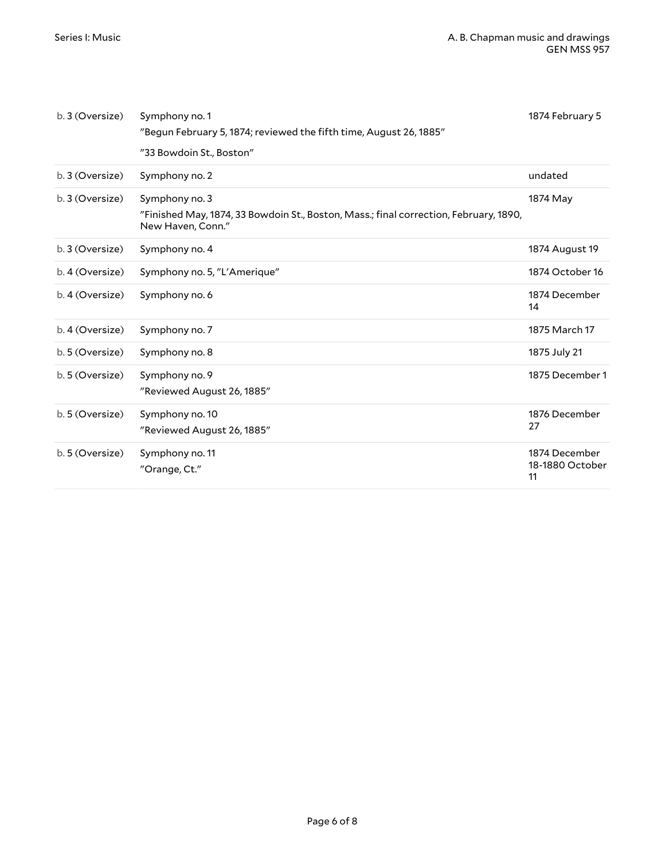| b. 3 (Oversize) | Symphony no. 1<br>"Begun February 5, 1874; reviewed the fifth time, August 26, 1885"<br>"33 Bowdoin St., Boston"             | 1874 February 5                        |
|-----------------|------------------------------------------------------------------------------------------------------------------------------|----------------------------------------|
| b. 3 (Oversize) | Symphony no. 2                                                                                                               | undated                                |
| b. 3 (Oversize) | Symphony no. 3<br>"Finished May, 1874, 33 Bowdoin St., Boston, Mass.; final correction, February, 1890,<br>New Haven, Conn." | 1874 May                               |
| b. 3 (Oversize) | Symphony no. 4                                                                                                               | 1874 August 19                         |
| b. 4 (Oversize) | Symphony no. 5, "L'Amerique"                                                                                                 | 1874 October 16                        |
| b. 4 (Oversize) | Symphony no. 6                                                                                                               | 1874 December<br>14                    |
| b. 4 (Oversize) | Symphony no. 7                                                                                                               | 1875 March 17                          |
| b. 5 (Oversize) | Symphony no. 8                                                                                                               | 1875 July 21                           |
| b. 5 (Oversize) | Symphony no. 9<br>"Reviewed August 26, 1885"                                                                                 | 1875 December 1                        |
| b. 5 (Oversize) | Symphony no. 10<br>"Reviewed August 26, 1885"                                                                                | 1876 December<br>27                    |
| b. 5 (Oversize) | Symphony no. 11<br>"Orange, Ct."                                                                                             | 1874 December<br>18-1880 October<br>11 |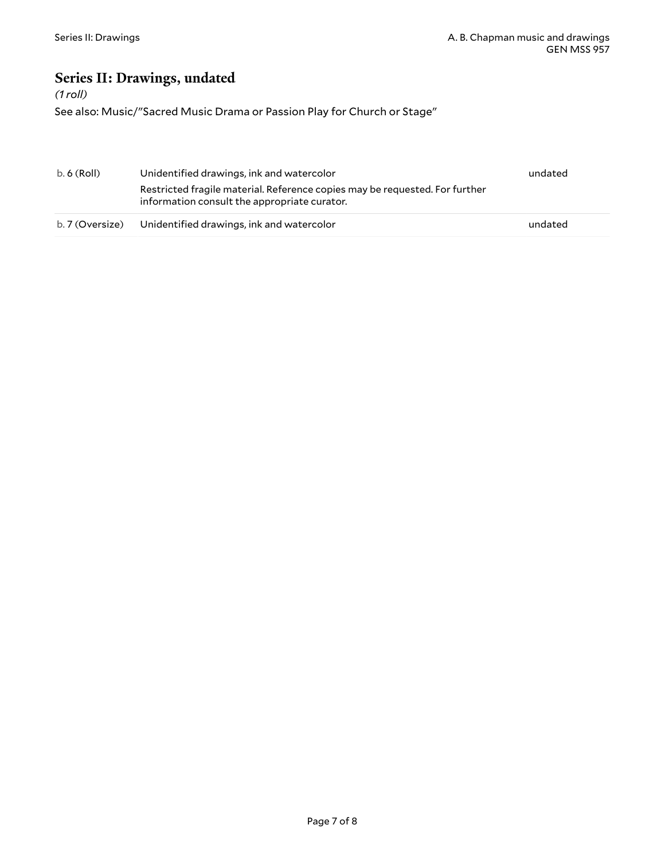## <span id="page-6-0"></span>**Series II: Drawings, undated**

#### *(1 roll)*

See also: Music/"Sacred Music Drama or Passion Play for Church or Stage"

| b. 6 (Roll)     | Unidentified drawings, ink and watercolor                                                                                   | undated |
|-----------------|-----------------------------------------------------------------------------------------------------------------------------|---------|
|                 | Restricted fragile material. Reference copies may be requested. For further<br>information consult the appropriate curator. |         |
| b. 7 (Oversize) | Unidentified drawings, ink and watercolor                                                                                   | undated |